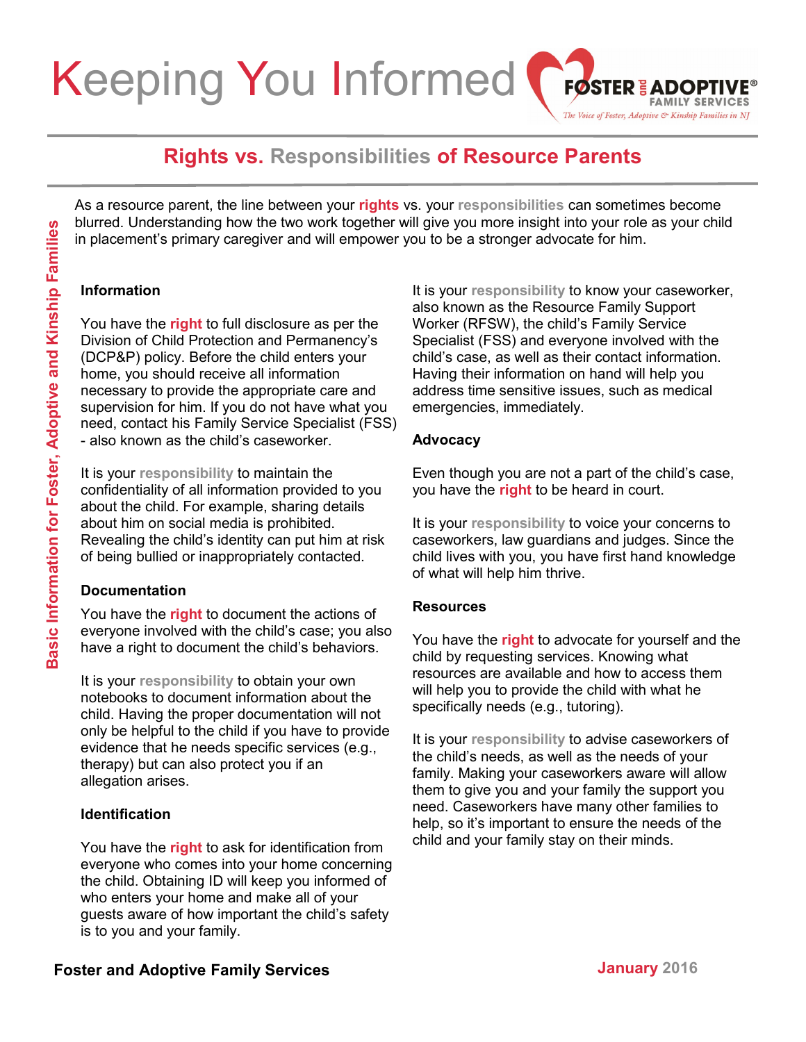#### Keeping You Informed **FØSTER & ADOPTI FAMILY SERVICES** The Voice of Foster, Adoptive & Kinship Families in NJ

# **Rights vs. Responsibilities of Resource Parents**

As a resource parent, the line between your **rights** vs. your **responsibilities** can sometimes become blurred. Understanding how the two work together will give you more insight into your role as your child in placement's primary caregiver and will empower you to be a stronger advocate for him.

#### **Information**

You have the **right** to full disclosure as per the Division of Child Protection and Permanency's (DCP&P) policy. Before the child enters your home, you should receive all information necessary to provide the appropriate care and supervision for him. If you do not have what you need, contact his Family Service Specialist (FSS) - also known as the child's caseworker. **For the start of the start and the start of the start and the start and the start and the start of the start of the start of the start of the start of the start of the start of the start of the start of the start of the s** 

It is your **responsibility** to maintain the confidentiality of all information provided to you about the child. For example, sharing details about him on social media is prohibited. Revealing the child's identity can put him at risk of being bullied or inappropriately contacted.

# **Documentation**

You have the **right** to document the actions of everyone involved with the child's case; you also have a right to document the child's behaviors.

It is your **responsibility** to obtain your own notebooks to document information about the child. Having the proper documentation will not only be helpful to the child if you have to provide evidence that he needs specific services (e.g., therapy) but can also protect you if an allegation arises.

# **Identification**

You have the **right** to ask for identification from everyone who comes into your home concerning the child. Obtaining ID will keep you informed of who enters your home and make all of your guests aware of how important the child's safety is to you and your family.

It is your **responsibility** to know your caseworker, also known as the Resource Family Support Worker (RFSW), the child's Family Service Specialist (FSS) and everyone involved with the child's case, as well as their contact information. Having their information on hand will help you address time sensitive issues, such as medical emergencies, immediately.

#### **Advocacy**

Even though you are not a part of the child's case, you have the **right** to be heard in court.

It is your **responsibility** to voice your concerns to caseworkers, law guardians and judges. Since the child lives with you, you have first hand knowledge of what will help him thrive.

# **Resources**

You have the **right** to advocate for yourself and the child by requesting services. Knowing what resources are available and how to access them will help you to provide the child with what he specifically needs (e.g., tutoring).

It is your **responsibility** to advise caseworkers of the child's needs, as well as the needs of your family. Making your caseworkers aware will allow them to give you and your family the support you need. Caseworkers have many other families to help, so it's important to ensure the needs of the child and your family stay on their minds.